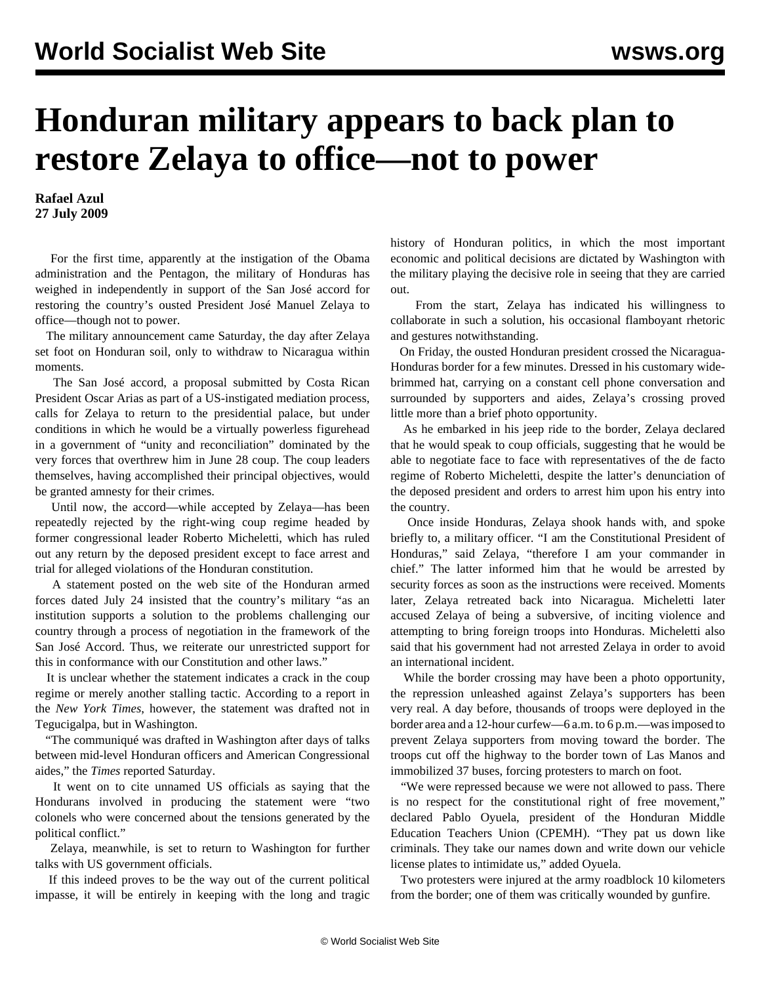## **Honduran military appears to back plan to restore Zelaya to office—not to power**

**Rafael Azul 27 July 2009**

 For the first time, apparently at the instigation of the Obama administration and the Pentagon, the military of Honduras has weighed in independently in support of the San José accord for restoring the country's ousted President José Manuel Zelaya to office—though not to power.

 The military announcement came Saturday, the day after Zelaya set foot on Honduran soil, only to withdraw to Nicaragua within moments.

 The San José accord, a proposal submitted by Costa Rican President Oscar Arias as part of a US-instigated mediation process, calls for Zelaya to return to the presidential palace, but under conditions in which he would be a virtually powerless figurehead in a government of "unity and reconciliation" dominated by the very forces that overthrew him in June 28 coup. The coup leaders themselves, having accomplished their principal objectives, would be granted amnesty for their crimes.

 Until now, the accord—while accepted by Zelaya—has been repeatedly rejected by the right-wing coup regime headed by former congressional leader Roberto Micheletti, which has ruled out any return by the deposed president except to face arrest and trial for alleged violations of the Honduran constitution.

 A statement posted on the web site of the Honduran armed forces dated July 24 insisted that the country's military "as an institution supports a solution to the problems challenging our country through a process of negotiation in the framework of the San José Accord. Thus, we reiterate our unrestricted support for this in conformance with our Constitution and other laws."

 It is unclear whether the statement indicates a crack in the coup regime or merely another stalling tactic. According to a report in the *New York Times*, however, the statement was drafted not in Tegucigalpa, but in Washington.

 "The communiqué was drafted in Washington after days of talks between mid-level Honduran officers and American Congressional aides," the *Times* reported Saturday.

 It went on to cite unnamed US officials as saying that the Hondurans involved in producing the statement were "two colonels who were concerned about the tensions generated by the political conflict."

 Zelaya, meanwhile, is set to return to Washington for further talks with US government officials.

 If this indeed proves to be the way out of the current political impasse, it will be entirely in keeping with the long and tragic

history of Honduran politics, in which the most important economic and political decisions are dictated by Washington with the military playing the decisive role in seeing that they are carried out.

 From the start, Zelaya has indicated his willingness to collaborate in such a solution, his occasional flamboyant rhetoric and gestures notwithstanding.

 On Friday, the ousted Honduran president crossed the Nicaragua-Honduras border for a few minutes. Dressed in his customary widebrimmed hat, carrying on a constant cell phone conversation and surrounded by supporters and aides, Zelaya's crossing proved little more than a brief photo opportunity.

 As he embarked in his jeep ride to the border, Zelaya declared that he would speak to coup officials, suggesting that he would be able to negotiate face to face with representatives of the de facto regime of Roberto Micheletti, despite the latter's denunciation of the deposed president and orders to arrest him upon his entry into the country.

 Once inside Honduras, Zelaya shook hands with, and spoke briefly to, a military officer. "I am the Constitutional President of Honduras," said Zelaya, "therefore I am your commander in chief." The latter informed him that he would be arrested by security forces as soon as the instructions were received. Moments later, Zelaya retreated back into Nicaragua. Micheletti later accused Zelaya of being a subversive, of inciting violence and attempting to bring foreign troops into Honduras. Micheletti also said that his government had not arrested Zelaya in order to avoid an international incident.

 While the border crossing may have been a photo opportunity, the repression unleashed against Zelaya's supporters has been very real. A day before, thousands of troops were deployed in the border area and a 12-hour curfew—6 a.m. to 6 p.m.—was imposed to prevent Zelaya supporters from moving toward the border. The troops cut off the highway to the border town of Las Manos and immobilized 37 buses, forcing protesters to march on foot.

 "We were repressed because we were not allowed to pass. There is no respect for the constitutional right of free movement," declared Pablo Oyuela, president of the Honduran Middle Education Teachers Union (CPEMH). "They pat us down like criminals. They take our names down and write down our vehicle license plates to intimidate us," added Oyuela.

 Two protesters were injured at the army roadblock 10 kilometers from the border; one of them was critically wounded by gunfire.